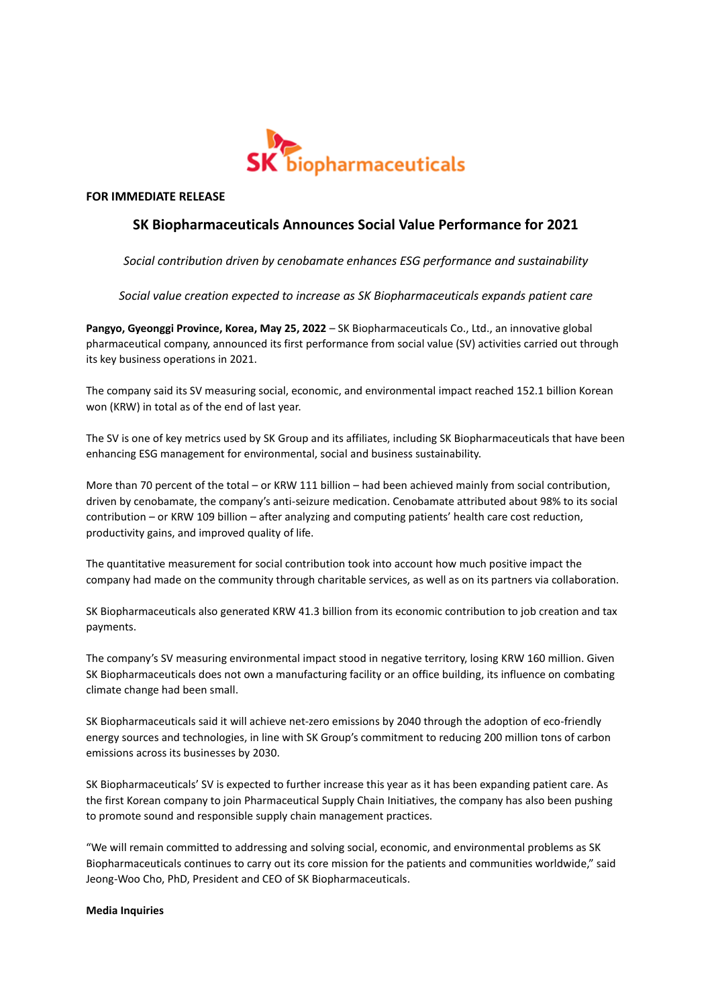

**FOR IMMEDIATE RELEASE**

## **SK Biopharmaceuticals Announces Social Value Performance for 2021**

*Social contribution driven by cenobamate enhances ESG performance and sustainability*

*Social value creation expected to increase as SK Biopharmaceuticals expands patient care*

**Pangyo, Gyeonggi Province, Korea, May 25, 2022** – SK Biopharmaceuticals Co., Ltd., an innovative global pharmaceutical company, announced its first performance from social value (SV) activities carried out through its key business operations in 2021.

The company said its SV measuring social, economic, and environmental impact reached 152.1 billion Korean won (KRW) in total as of the end of last year.

The SV is one of key metrics used by SK Group and its affiliates, including SK Biopharmaceuticals that have been enhancing ESG management for environmental, social and business sustainability.

More than 70 percent of the total – or KRW 111 billion – had been achieved mainly from social contribution, driven by cenobamate, the company's anti-seizure medication. Cenobamate attributed about 98% to its social contribution – or KRW 109 billion – after analyzing and computing patients' health care cost reduction, productivity gains, and improved quality of life.

The quantitative measurement for social contribution took into account how much positive impact the company had made on the community through charitable services, as well as on its partners via collaboration.

SK Biopharmaceuticals also generated KRW 41.3 billion from its economic contribution to job creation and tax payments.

The company's SV measuring environmental impact stood in negative territory, losing KRW 160 million. Given SK Biopharmaceuticals does not own a manufacturing facility or an office building, its influence on combating climate change had been small.

SK Biopharmaceuticals said it will achieve net-zero emissions by 2040 through the adoption of eco-friendly energy sources and technologies, in line with SK Group's commitment to reducing 200 million tons of carbon emissions across its businesses by 2030.

SK Biopharmaceuticals' SV is expected to further increase this year as it has been expanding patient care. As the first Korean company to join Pharmaceutical Supply Chain Initiatives, the company has also been pushing to promote sound and responsible supply chain management practices.

"We will remain committed to addressing and solving social, economic, and environmental problems as SK Biopharmaceuticals continues to carry out its core mission for the patients and communities worldwide," said Jeong-Woo Cho, PhD, President and CEO of SK Biopharmaceuticals.

## **Media Inquiries**